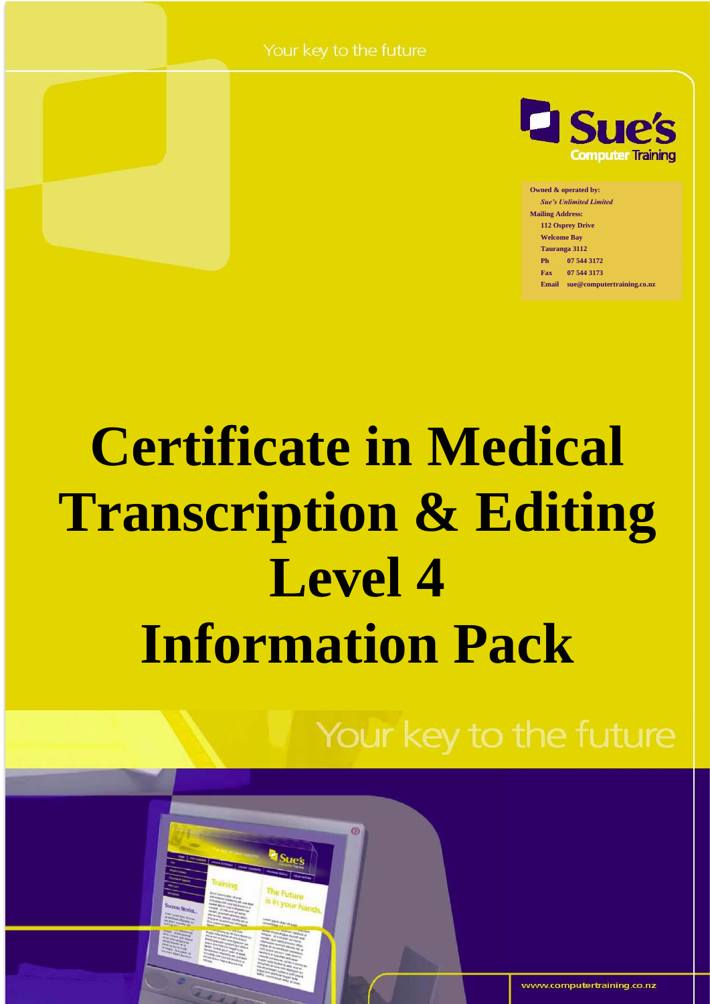Your key to the future



**Owned & operated by:** *Sue's Unlimited Limited* **Mailing Address: 112 Osprey Drive Welcome Bay Tauranga 3112 Ph 07 544 3172 Fax 07 544 3173 Email sue@computertraining.co.nz**

# **Certificate in Medical Transcription & Editing Level 4 Information Pack**

 $\circ$ 

Your key to the future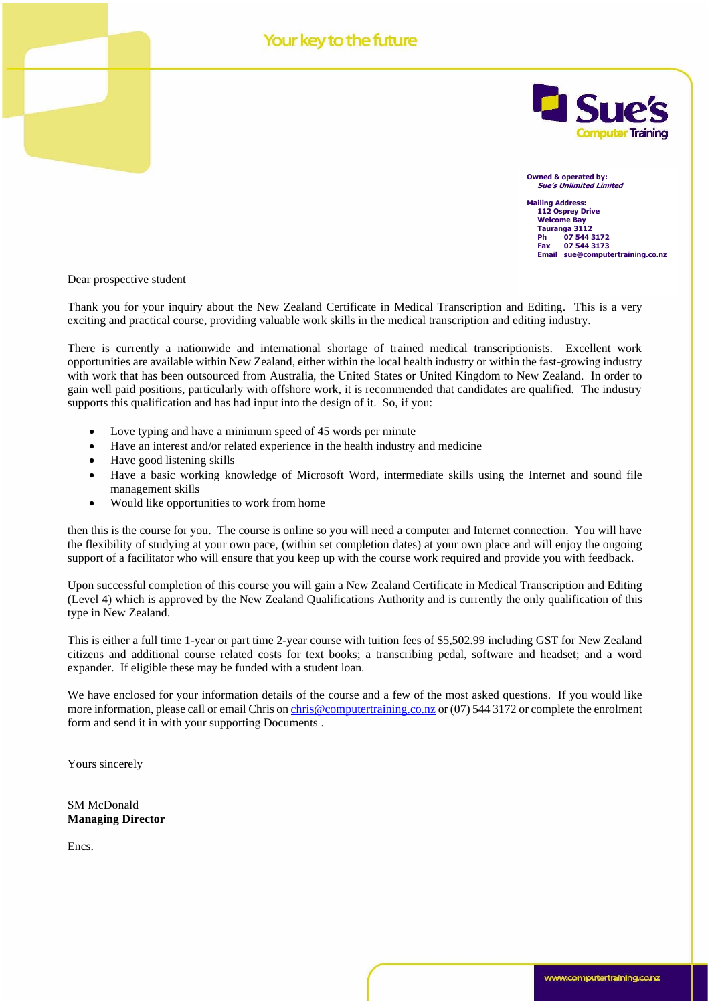#### Your key to the future



**Owned & operated by: Sue's Unlimited Limited**

**Mailing Address: 112 Osprey Drive Welcome Bay Tauranga 3112 Ph 07 544 3172 Fax 07 544 3173 Email sue@computertraining.co.nz**

Dear prospective student

Thank you for your inquiry about the New Zealand Certificate in Medical Transcription and Editing. This is a very exciting and practical course, providing valuable work skills in the medical transcription and editing industry.

There is currently a nationwide and international shortage of trained medical transcriptionists. Excellent work opportunities are available within New Zealand, either within the local health industry or within the fast-growing industry with work that has been outsourced from Australia, the United States or United Kingdom to New Zealand. In order to gain well paid positions, particularly with offshore work, it is recommended that candidates are qualified. The industry supports this qualification and has had input into the design of it. So, if you:

- Love typing and have a minimum speed of 45 words per minute
- Have an interest and/or related experience in the health industry and medicine
- Have good listening skills
- Have a basic working knowledge of Microsoft Word, intermediate skills using the Internet and sound file management skills
- Would like opportunities to work from home

then this is the course for you. The course is online so you will need a computer and Internet connection. You will have the flexibility of studying at your own pace, (within set completion dates) at your own place and will enjoy the ongoing support of a facilitator who will ensure that you keep up with the course work required and provide you with feedback.

Upon successful completion of this course you will gain a New Zealand Certificate in Medical Transcription and Editing (Level 4) which is approved by the New Zealand Qualifications Authority and is currently the only qualification of this type in New Zealand.

This is either a full time 1-year or part time 2-year course with tuition fees of \$5,502.99 including GST for New Zealand citizens and additional course related costs for text books; a transcribing pedal, software and headset; and a word expander. If eligible these may be funded with a student loan.

We have enclosed for your information details of the course and a few of the most asked questions. If you would like more information, please call or email Chris o[n chris@computertraining.co.nz](mailto:chris@computertraining.co.nz) or (07) 544 3172 or complete the enrolment form and send it in with your supporting Documents .

Yours sincerely

SM McDonald **Managing Director**

Encs.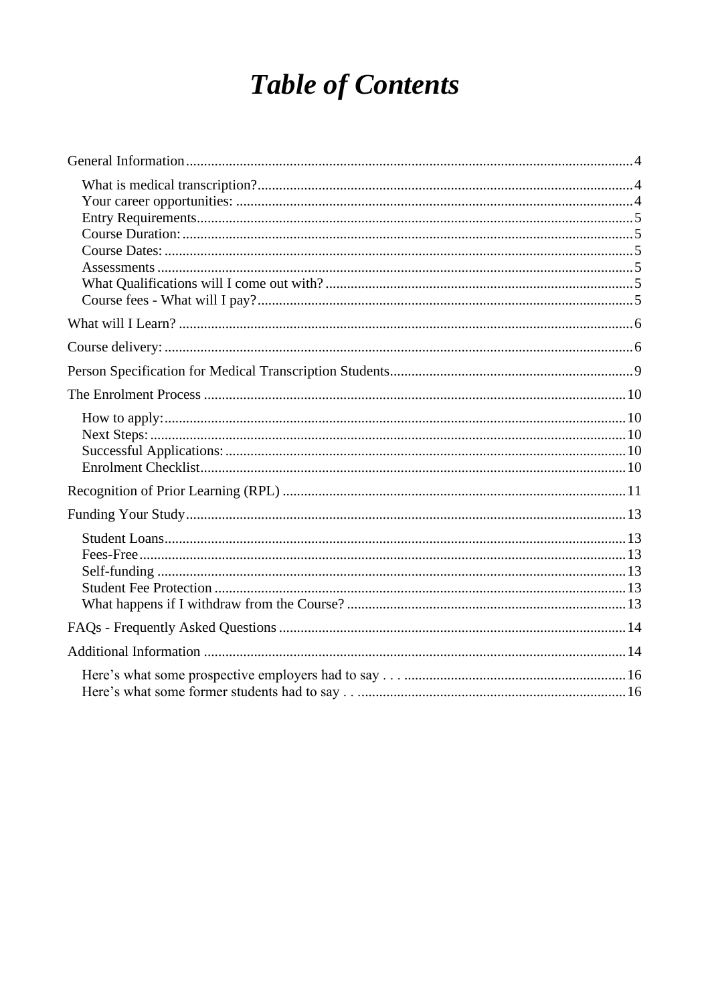## **Table of Contents**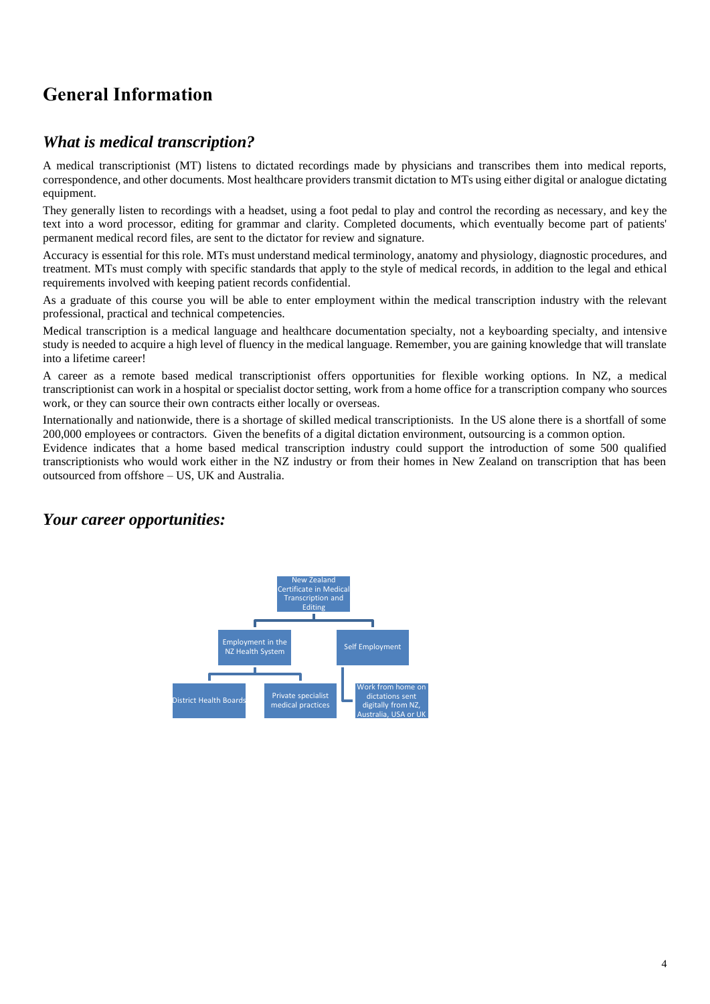## <span id="page-3-0"></span>**General Information**

#### <span id="page-3-1"></span>*What is medical transcription?*

A medical transcriptionist (MT) listens to dictated recordings made by physicians and transcribes them into medical reports, correspondence, and other documents. Most healthcare providers transmit dictation to MTs using either digital or analogue dictating equipment.

They generally listen to recordings with a headset, using a foot pedal to play and control the recording as necessary, and key the text into a word processor, editing for grammar and clarity. Completed documents, which eventually become part of patients' permanent medical record files, are sent to the dictator for review and signature.

Accuracy is essential for this role. MTs must understand medical terminology, anatomy and physiology, diagnostic procedures, and treatment. MTs must comply with specific standards that apply to the style of medical records, in addition to the legal and ethical requirements involved with keeping patient records confidential.

As a graduate of this course you will be able to enter employment within the medical transcription industry with the relevant professional, practical and technical competencies.

Medical transcription is a medical language and healthcare documentation specialty, not a keyboarding specialty, and intensive study is needed to acquire a high level of fluency in the medical language. Remember, you are gaining knowledge that will translate into a lifetime career!

A career as a remote based medical transcriptionist offers opportunities for flexible working options. In NZ, a medical transcriptionist can work in a hospital or specialist doctor setting, work from a home office for a transcription company who sources work, or they can source their own contracts either locally or overseas.

Internationally and nationwide, there is a shortage of skilled medical transcriptionists. In the US alone there is a shortfall of some 200,000 employees or contractors. Given the benefits of a digital dictation environment, outsourcing is a common option.

Evidence indicates that a home based medical transcription industry could support the introduction of some 500 qualified transcriptionists who would work either in the NZ industry or from their homes in New Zealand on transcription that has been outsourced from offshore – US, UK and Australia.

#### <span id="page-3-2"></span>*Your career opportunities:*

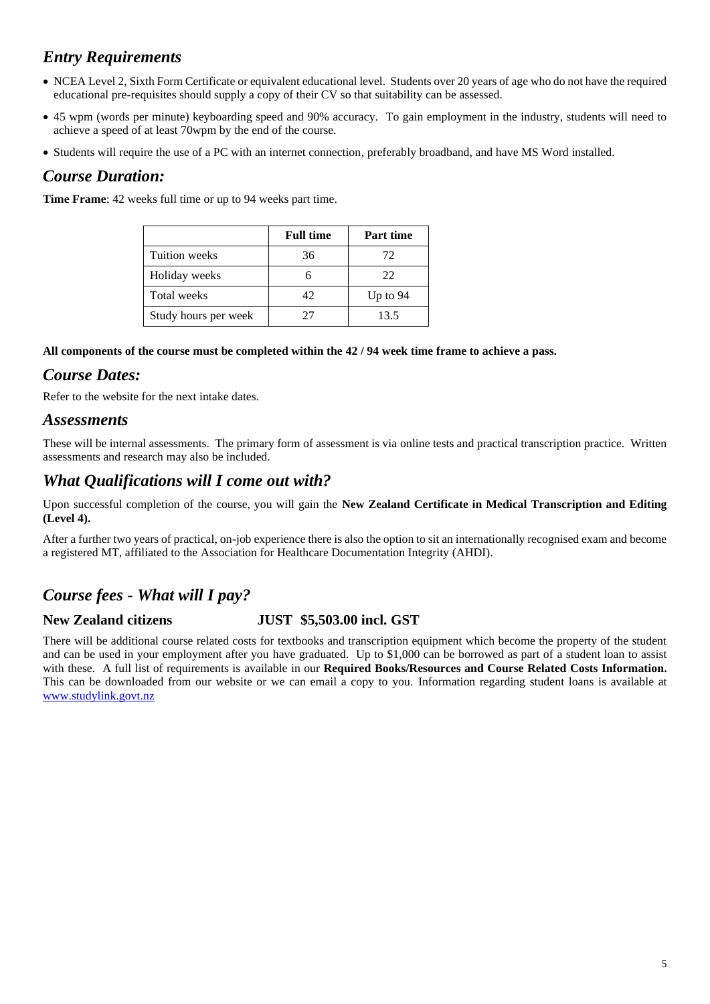## <span id="page-4-0"></span>*Entry Requirements*

- NCEA Level 2, Sixth Form Certificate or equivalent educational level. Students over 20 years of age who do not have the required educational pre-requisites should supply a copy of their CV so that suitability can be assessed.
- 45 wpm (words per minute) keyboarding speed and 90% accuracy. To gain employment in the industry, students will need to achieve a speed of at least 70wpm by the end of the course.
- Students will require the use of a PC with an internet connection, preferably broadband, and have MS Word installed.

#### <span id="page-4-1"></span>*Course Duration:*

**Time Frame**: 42 weeks full time or up to 94 weeks part time.

|                      | <b>Full time</b> | <b>Part time</b> |
|----------------------|------------------|------------------|
| Tuition weeks        | 36               | 72               |
| Holiday weeks        |                  | 22               |
| Total weeks          | 42               | Up to $94$       |
| Study hours per week | 77               | 13.5             |

**All components of the course must be completed within the 42 / 94 week time frame to achieve a pass.** 

#### <span id="page-4-2"></span>*Course Dates:*

Refer to the website for the next intake dates.

#### <span id="page-4-3"></span>*Assessments*

These will be internal assessments. The primary form of assessment is via online tests and practical transcription practice. Written assessments and research may also be included.

#### <span id="page-4-4"></span>*What Qualifications will I come out with?*

Upon successful completion of the course, you will gain the **New Zealand Certificate in Medical Transcription and Editing (Level 4).**

After a further two years of practical, on-job experience there is also the option to sit an internationally recognised exam and become a registered MT, affiliated to the Association for Healthcare Documentation Integrity (AHDI).

#### <span id="page-4-5"></span>*Course fees - What will I pay?*

#### **New Zealand citizens JUST \$5,503.00 incl. GST**

There will be additional course related costs for textbooks and transcription equipment which become the property of the student and can be used in your employment after you have graduated. Up to \$1,000 can be borrowed as part of a student loan to assist with these. A full list of requirements is available in our **Required Books/Resources and Course Related Costs Information.**  This can be downloaded from our website or we can email a copy to you. Information regarding student loans is available at [www.studylink.govt.nz](http://www.studylink.govt.nz/)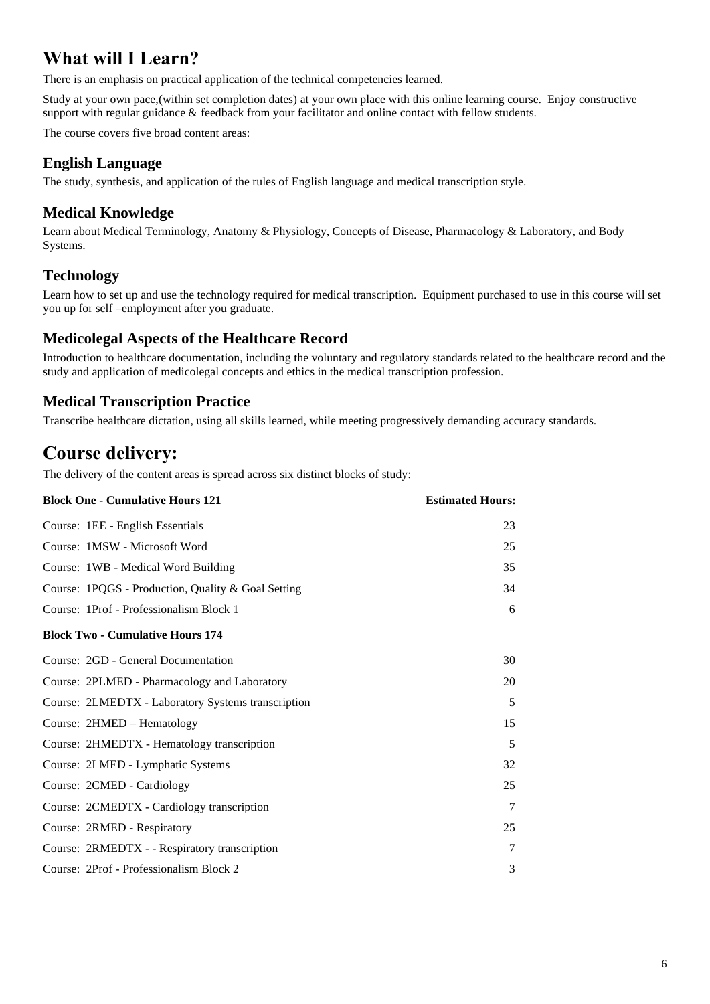## <span id="page-5-0"></span>**What will I Learn?**

There is an emphasis on practical application of the technical competencies learned.

Study at your own pace,(within set completion dates) at your own place with this online learning course. Enjoy constructive support with regular guidance & feedback from your facilitator and online contact with fellow students.

The course covers five broad content areas:

#### **English Language**

The study, synthesis, and application of the rules of English language and medical transcription style.

#### **Medical Knowledge**

Learn about Medical Terminology, Anatomy & Physiology, Concepts of Disease, Pharmacology & Laboratory, and Body Systems.

#### **Technology**

Learn how to set up and use the technology required for medical transcription. Equipment purchased to use in this course will set you up for self –employment after you graduate.

#### **Medicolegal Aspects of the Healthcare Record**

Introduction to healthcare documentation, including the voluntary and regulatory standards related to the healthcare record and the study and application of medicolegal concepts and ethics in the medical transcription profession.

#### **Medical Transcription Practice**

Transcribe healthcare dictation, using all skills learned, while meeting progressively demanding accuracy standards.

## <span id="page-5-1"></span>**Course delivery:**

The delivery of the content areas is spread across six distinct blocks of study:

| <b>Block One - Cumulative Hours 121</b>            | <b>Estimated Hours:</b> |
|----------------------------------------------------|-------------------------|
| Course: 1EE - English Essentials                   | 23                      |
| Course: 1MSW - Microsoft Word                      | 25                      |
| Course: 1WB - Medical Word Building                | 35                      |
| Course: 1PQGS - Production, Quality & Goal Setting | 34                      |
| Course: 1Prof - Professionalism Block 1            | 6                       |
| <b>Block Two - Cumulative Hours 174</b>            |                         |
| Course: 2GD - General Documentation                | 30                      |
| Course: 2PLMED - Pharmacology and Laboratory       | 20                      |
| Course: 2LMEDTX - Laboratory Systems transcription | 5                       |
| Course: 2HMED - Hematology                         | 15                      |
| Course: 2HMEDTX - Hematology transcription         | 5                       |
| Course: 2LMED - Lymphatic Systems                  | 32                      |
| Course: 2CMED - Cardiology                         | 25                      |
| Course: 2CMEDTX - Cardiology transcription         | 7                       |
| Course: 2RMED - Respiratory                        | 25                      |
| Course: 2RMEDTX - - Respiratory transcription      | 7                       |
| Course: 2Prof - Professionalism Block 2            | 3                       |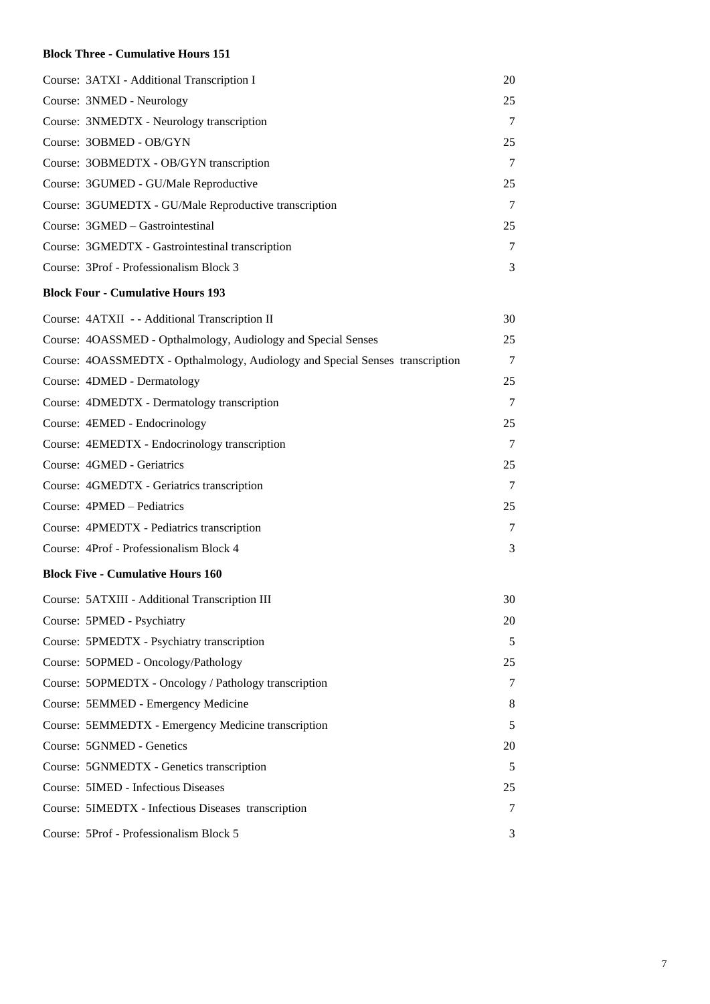#### **Block Three - Cumulative Hours 151**

| Course: 3ATXI - Additional Transcription I                                    | 20 |
|-------------------------------------------------------------------------------|----|
| Course: 3NMED - Neurology                                                     | 25 |
| Course: 3NMEDTX - Neurology transcription                                     | 7  |
| Course: 3OBMED - OB/GYN                                                       | 25 |
| Course: 3OBMEDTX - OB/GYN transcription                                       | 7  |
| Course: 3GUMED - GU/Male Reproductive                                         | 25 |
| Course: 3GUMEDTX - GU/Male Reproductive transcription                         | 7  |
| Course: 3GMED - Gastrointestinal                                              | 25 |
| Course: 3GMEDTX - Gastrointestinal transcription                              | 7  |
| Course: 3Prof - Professionalism Block 3                                       | 3  |
| <b>Block Four - Cumulative Hours 193</b>                                      |    |
| Course: 4ATXII - - Additional Transcription II                                | 30 |
| Course: 4OASSMED - Opthalmology, Audiology and Special Senses                 | 25 |
| Course: 4OASSMEDTX - Opthalmology, Audiology and Special Senses transcription | 7  |
| Course: 4DMED - Dermatology                                                   | 25 |
| Course: 4DMEDTX - Dermatology transcription                                   | 7  |
| Course: 4EMED - Endocrinology                                                 | 25 |
| Course: 4EMEDTX - Endocrinology transcription                                 | 7  |
| Course: 4GMED - Geriatrics                                                    | 25 |
| Course: 4GMEDTX - Geriatrics transcription                                    | 7  |
| Course: 4PMED - Pediatrics                                                    | 25 |
| Course: 4PMEDTX - Pediatrics transcription                                    | 7  |
| Course: 4Prof - Professionalism Block 4                                       | 3  |
| <b>Block Five - Cumulative Hours 160</b>                                      |    |
| Course: 5ATXIII - Additional Transcription III                                | 30 |
| Course: 5PMED - Psychiatry                                                    | 20 |
| Course: 5PMEDTX - Psychiatry transcription                                    | 5  |
| Course: 5OPMED - Oncology/Pathology                                           | 25 |
| Course: 5OPMEDTX - Oncology / Pathology transcription                         | 7  |
| Course: 5EMMED - Emergency Medicine                                           | 8  |
| Course: 5EMMEDTX - Emergency Medicine transcription                           | 5  |
| Course: 5GNMED - Genetics                                                     | 20 |
| Course: 5GNMEDTX - Genetics transcription                                     | 5  |
| <b>Course: 5IMED - Infectious Diseases</b>                                    | 25 |
| Course: 5IMEDTX - Infectious Diseases transcription                           | 7  |
| Course: 5Prof - Professionalism Block 5                                       | 3  |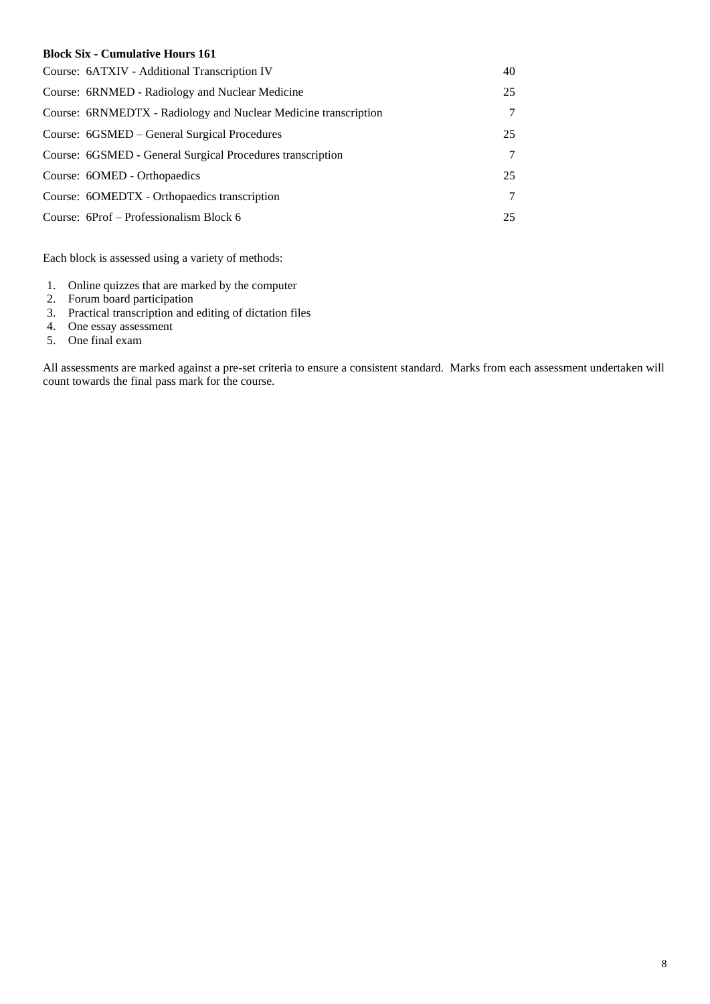#### **Block Six - Cumulative Hours 161**

| Course: 6ATXIV - Additional Transcription IV                    | 40 |
|-----------------------------------------------------------------|----|
| Course: 6RNMED - Radiology and Nuclear Medicine                 | 25 |
| Course: 6RNMEDTX - Radiology and Nuclear Medicine transcription | 7  |
| Course: 6GSMED – General Surgical Procedures                    | 25 |
| Course: 6GSMED - General Surgical Procedures transcription      | 7  |
| Course: 60MED - Orthopaedics                                    | 25 |
| Course: 6OMEDTX - Orthopaedics transcription                    | 7  |
| Course: 6Prof – Professionalism Block 6                         | 25 |

Each block is assessed using a variety of methods:

- 1. Online quizzes that are marked by the computer
- 2. Forum board participation
- 3. Practical transcription and editing of dictation files
- 4. One essay assessment
- 5. One final exam

All assessments are marked against a pre-set criteria to ensure a consistent standard. Marks from each assessment undertaken will count towards the final pass mark for the course.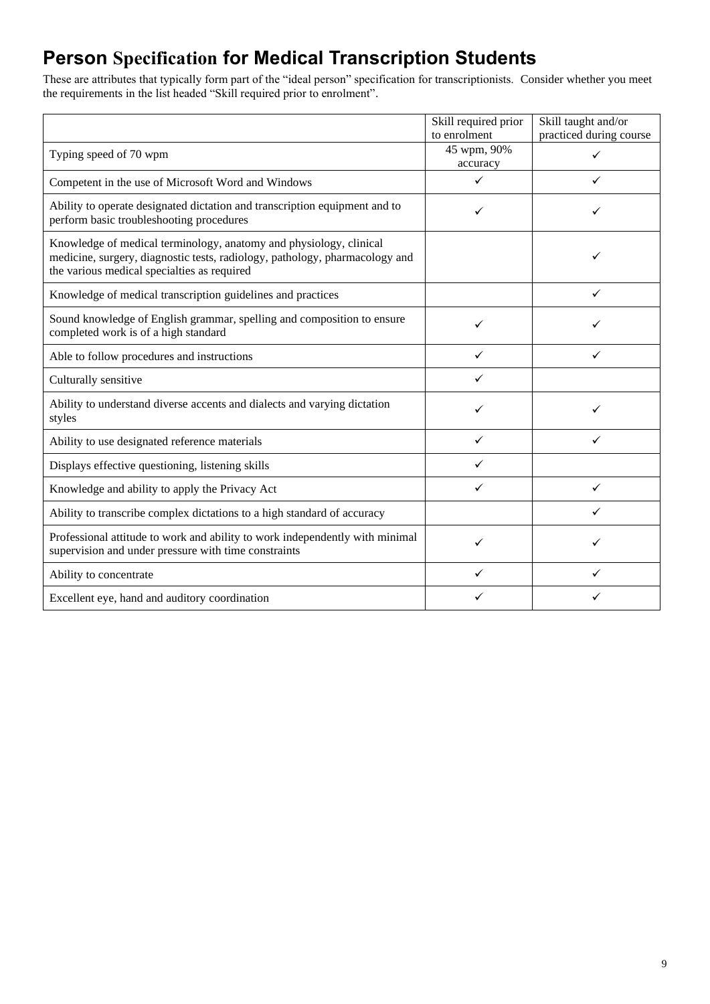## <span id="page-8-0"></span>**Person Specification for Medical Transcription Students**

These are attributes that typically form part of the "ideal person" specification for transcriptionists. Consider whether you meet the requirements in the list headed "Skill required prior to enrolment".

|                                                                                                                                                                                                  | Skill required prior     | Skill taught and/or     |
|--------------------------------------------------------------------------------------------------------------------------------------------------------------------------------------------------|--------------------------|-------------------------|
|                                                                                                                                                                                                  | to enrolment             | practiced during course |
| Typing speed of 70 wpm                                                                                                                                                                           | 45 wpm, 90%              | $\checkmark$            |
|                                                                                                                                                                                                  | accuracy<br>$\checkmark$ | ✓                       |
| Competent in the use of Microsoft Word and Windows                                                                                                                                               |                          |                         |
| Ability to operate designated dictation and transcription equipment and to<br>perform basic troubleshooting procedures                                                                           | ✓                        | ✓                       |
| Knowledge of medical terminology, anatomy and physiology, clinical<br>medicine, surgery, diagnostic tests, radiology, pathology, pharmacology and<br>the various medical specialties as required |                          | ✓                       |
| Knowledge of medical transcription guidelines and practices                                                                                                                                      |                          | ✓                       |
| Sound knowledge of English grammar, spelling and composition to ensure<br>completed work is of a high standard                                                                                   | ✓                        |                         |
| Able to follow procedures and instructions                                                                                                                                                       | ✓                        | ✓                       |
| Culturally sensitive                                                                                                                                                                             | ✓                        |                         |
| Ability to understand diverse accents and dialects and varying dictation<br>styles                                                                                                               | ✓                        |                         |
| Ability to use designated reference materials                                                                                                                                                    | ✓                        | ✓                       |
| Displays effective questioning, listening skills                                                                                                                                                 | ✓                        |                         |
| Knowledge and ability to apply the Privacy Act                                                                                                                                                   | ✓                        | ✓                       |
| Ability to transcribe complex dictations to a high standard of accuracy                                                                                                                          |                          | ✓                       |
| Professional attitude to work and ability to work independently with minimal<br>supervision and under pressure with time constraints                                                             | ✓                        |                         |
| Ability to concentrate                                                                                                                                                                           | ✓                        | ✓                       |
| Excellent eye, hand and auditory coordination                                                                                                                                                    |                          |                         |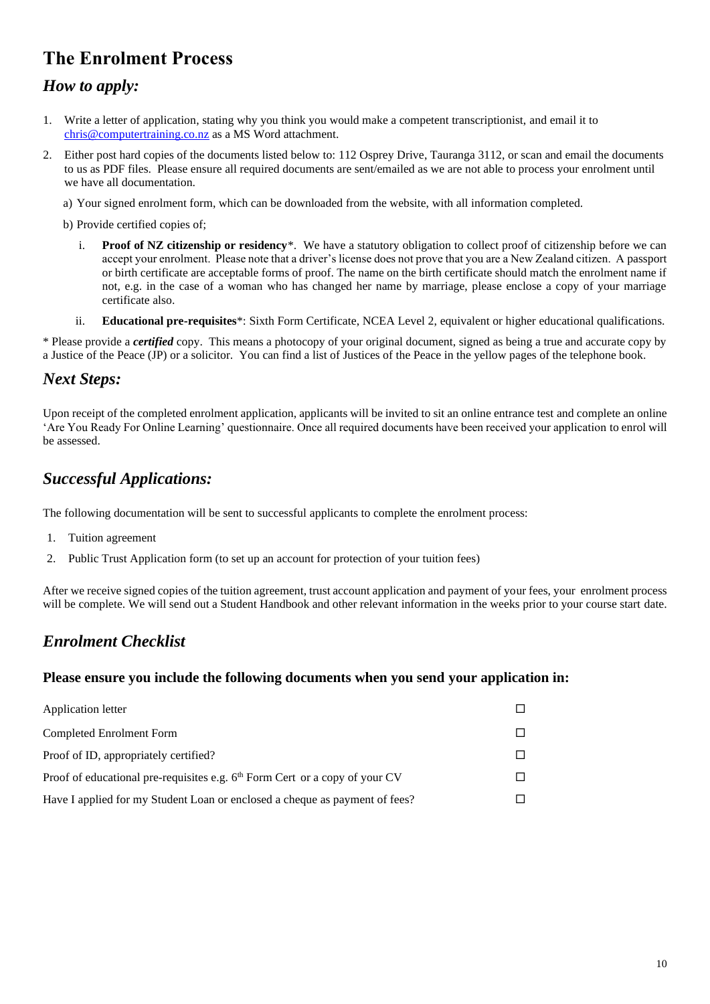## <span id="page-9-0"></span>**The Enrolment Process**

#### <span id="page-9-1"></span>*How to apply:*

- 1. Write a letter of application, stating why you think you would make a competent transcriptionist, and email it to [chris@computertraining.co.nz](mailto:chris@computertraining.co.nz) as a MS Word attachment.
- 2. Either post hard copies of the documents listed below to: 112 Osprey Drive, Tauranga 3112, or scan and email the documents to us as PDF files. Please ensure all required documents are sent/emailed as we are not able to process your enrolment until we have all documentation.
	- a) Your signed enrolment form, which can be downloaded from the website, with all information completed.

b) Provide certified copies of;

- i. **Proof of NZ citizenship or residency**\*. We have a statutory obligation to collect proof of citizenship before we can accept your enrolment. Please note that a driver's license does not prove that you are a New Zealand citizen. A passport or birth certificate are acceptable forms of proof. The name on the birth certificate should match the enrolment name if not, e.g. in the case of a woman who has changed her name by marriage, please enclose a copy of your marriage certificate also.
- ii. **Educational pre-requisites**\*: Sixth Form Certificate, NCEA Level 2, equivalent or higher educational qualifications.

\* Please provide a *certified* copy. This means a photocopy of your original document, signed as being a true and accurate copy by a Justice of the Peace (JP) or a solicitor. You can find a list of Justices of the Peace in the yellow pages of the telephone book.

#### <span id="page-9-2"></span>*Next Steps:*

Upon receipt of the completed enrolment application, applicants will be invited to sit an online entrance test and complete an online 'Are You Ready For Online Learning' questionnaire. Once all required documents have been received your application to enrol will be assessed.

#### <span id="page-9-3"></span>*Successful Applications:*

The following documentation will be sent to successful applicants to complete the enrolment process:

- 1. Tuition agreement
- 2. Public Trust Application form (to set up an account for protection of your tuition fees)

After we receive signed copies of the tuition agreement, trust account application and payment of your fees, your enrolment process will be complete. We will send out a Student Handbook and other relevant information in the weeks prior to your course start date.

#### <span id="page-9-4"></span>*Enrolment Checklist*

#### **Please ensure you include the following documents when you send your application in:**

| Application letter                                                                      |  |
|-----------------------------------------------------------------------------------------|--|
| Completed Enrolment Form                                                                |  |
| Proof of ID, appropriately certified?                                                   |  |
| Proof of educational pre-requisites e.g. 6 <sup>th</sup> Form Cert or a copy of your CV |  |
| Have I applied for my Student Loan or enclosed a cheque as payment of fees?             |  |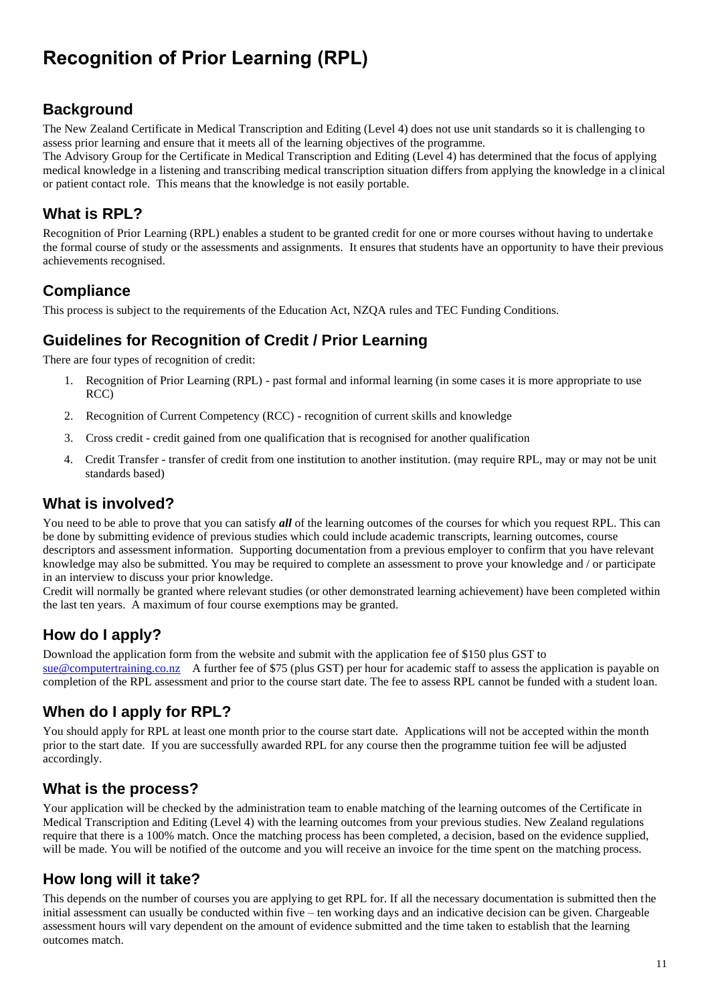## <span id="page-10-0"></span>**Recognition of Prior Learning (RPL)**

#### **Background**

The New Zealand Certificate in Medical Transcription and Editing (Level 4) does not use unit standards so it is challenging to assess prior learning and ensure that it meets all of the learning objectives of the programme.

The Advisory Group for the Certificate in Medical Transcription and Editing (Level 4) has determined that the focus of applying medical knowledge in a listening and transcribing medical transcription situation differs from applying the knowledge in a clinical or patient contact role. This means that the knowledge is not easily portable.

#### **What is RPL?**

Recognition of Prior Learning (RPL) enables a student to be granted credit for one or more courses without having to undertake the formal course of study or the assessments and assignments. It ensures that students have an opportunity to have their previous achievements recognised.

#### **Compliance**

This process is subject to the requirements of the Education Act, NZQA rules and TEC Funding Conditions.

#### **Guidelines for Recognition of Credit / Prior Learning**

There are four types of recognition of credit:

- 1. Recognition of Prior Learning (RPL) past formal and informal learning (in some cases it is more appropriate to use RCC)
- 2. Recognition of Current Competency (RCC) recognition of current skills and knowledge
- 3. Cross credit credit gained from one qualification that is recognised for another qualification
- 4. Credit Transfer transfer of credit from one institution to another institution. (may require RPL, may or may not be unit standards based)

#### **What is involved?**

You need to be able to prove that you can satisfy *all* of the learning outcomes of the courses for which you request RPL. This can be done by submitting evidence of previous studies which could include academic transcripts, learning outcomes, course descriptors and assessment information. Supporting documentation from a previous employer to confirm that you have relevant knowledge may also be submitted. You may be required to complete an assessment to prove your knowledge and / or participate

in an interview to discuss your prior knowledge.

Credit will normally be granted where relevant studies (or other demonstrated learning achievement) have been completed within the last ten years. A maximum of four course exemptions may be granted.

#### **How do I apply?**

Download the application form from the website and submit with the application fee of \$150 plus GST to [sue@computertraining.co.nz](mailto:sue@computertraining.co.nz) A further fee of \$75 (plus GST) per hour for academic staff to assess the application is payable on completion of the RPL assessment and prior to the course start date. The fee to assess RPL cannot be funded with a student loan.

#### **When do I apply for RPL?**

You should apply for RPL at least one month prior to the course start date. Applications will not be accepted within the month prior to the start date. If you are successfully awarded RPL for any course then the programme tuition fee will be adjusted accordingly.

#### **What is the process?**

Your application will be checked by the administration team to enable matching of the learning outcomes of the Certificate in Medical Transcription and Editing (Level 4) with the learning outcomes from your previous studies. New Zealand regulations require that there is a 100% match. Once the matching process has been completed, a decision, based on the evidence supplied, will be made. You will be notified of the outcome and you will receive an invoice for the time spent on the matching process.

#### **How long will it take?**

This depends on the number of courses you are applying to get RPL for. If all the necessary documentation is submitted then the initial assessment can usually be conducted within five – ten working days and an indicative decision can be given. Chargeable assessment hours will vary dependent on the amount of evidence submitted and the time taken to establish that the learning outcomes match.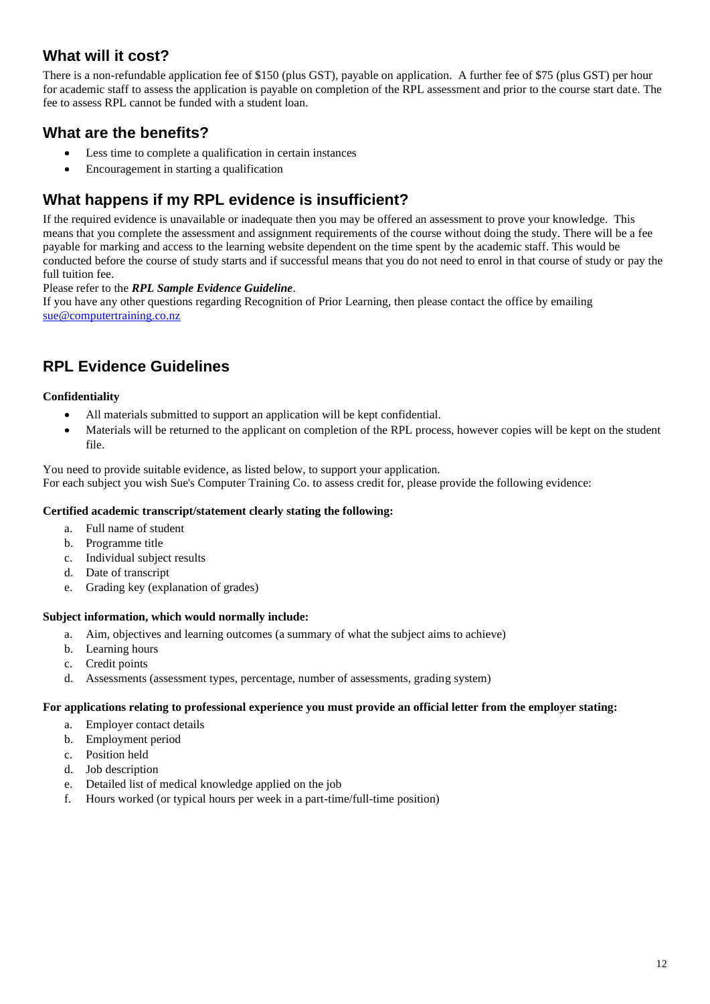#### **What will it cost?**

There is a non-refundable application fee of \$150 (plus GST), payable on application. A further fee of \$75 (plus GST) per hour for academic staff to assess the application is payable on completion of the RPL assessment and prior to the course start date. The fee to assess RPL cannot be funded with a student loan.

#### **What are the benefits?**

- Less time to complete a qualification in certain instances
- Encouragement in starting a qualification

#### **What happens if my RPL evidence is insufficient?**

If the required evidence is unavailable or inadequate then you may be offered an assessment to prove your knowledge. This means that you complete the assessment and assignment requirements of the course without doing the study. There will be a fee payable for marking and access to the learning website dependent on the time spent by the academic staff. This would be conducted before the course of study starts and if successful means that you do not need to enrol in that course of study or pay the full tuition fee.

#### Please refer to the *[RPL Sample Evidence Guideline](https://www.cordonbleu.edu/Files/NZADEN13121.pdf)*.

If you have any other questio[ns r](https://www.cordonbleu.edu/Files/NZADEN13121.pdf#page=1)egarding Recognition of Prior Learning, then please contact the office by emailing [sue@computertraining.co.nz](mailto:sue@computertraining.co.nz) 

#### **RPL Evidence Guidelines**

#### **Confidentiality**

- All materials submitted to support an application will be kept confidential.
- Materials will be returned to the applicant on completion of the RPL process, however copies will be kept on the student file.

You need to provide suitable evidence, as listed below, to support your application. For each subject you wish Sue's Computer Training Co. to assess credit for, please provide the following evidence:

#### **Certified academic transcript/statement clearly stating the following:**

- a. Full name of student
- b. Programme title
- c. Individual subject results
- d. Date of transcript
- e. Grading key (explanation of grades)

#### **Subject information, which would normally include:**

- a. Aim, objectives and learning outcomes (a summary of what the subject aims to achieve)
- b. Learning hours
- c. Credit points
- d. Assessments (assessment types, percentage, number of assessments, grading system)

#### **For applications relating to professional experience you must provide an official letter from the employer stating:**

- a. Employer contact details
- b. Employment period
- c. Position held
- d. Job description
- e. Detailed list of medical knowledge applied on the job
- f. Hours worked (or typical hours per week in a part-time/full-time position)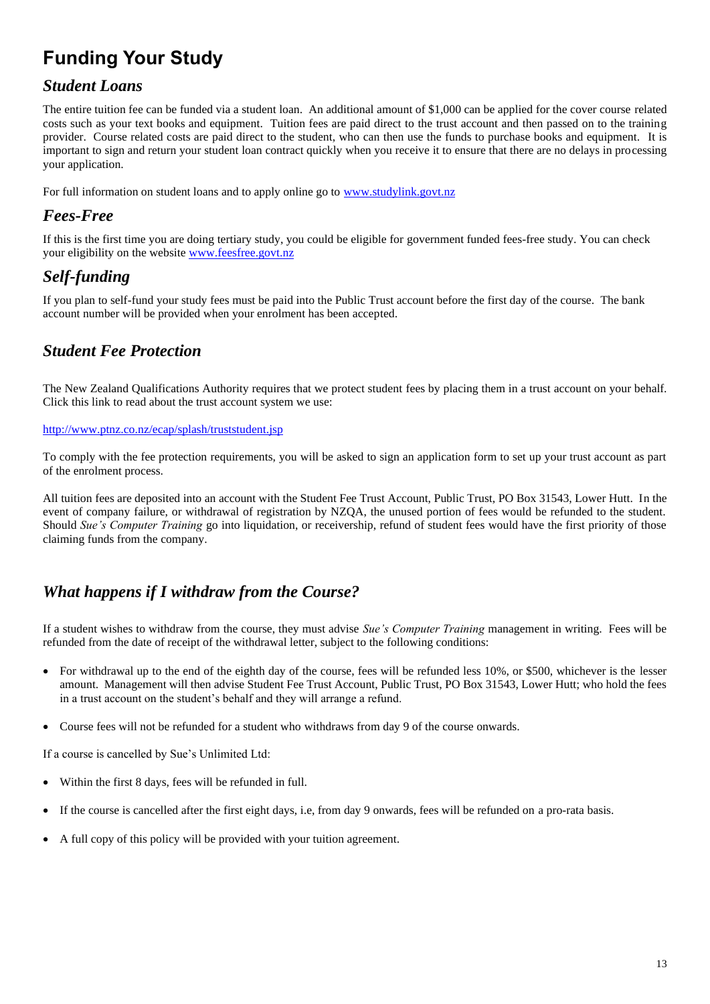## <span id="page-12-0"></span>**Funding Your Study**

#### <span id="page-12-1"></span>*Student Loans*

The entire tuition fee can be funded via a student loan. An additional amount of \$1,000 can be applied for the cover course related costs such as your text books and equipment. Tuition fees are paid direct to the trust account and then passed on to the training provider. Course related costs are paid direct to the student, who can then use the funds to purchase books and equipment. It is important to sign and return your student loan contract quickly when you receive it to ensure that there are no delays in processing your application.

For full information on student loans and to apply online go to [www.studylink.govt.nz](http://www.studylink.govt.nz/)

#### <span id="page-12-2"></span>*Fees-Free*

If this is the first time you are doing tertiary study, you could be eligible for government funded fees-free study. You can check your eligibility on the website [www.feesfree.govt.nz](http://www.feesfree.govt.nz/)

## <span id="page-12-3"></span>*Self-funding*

If you plan to self-fund your study fees must be paid into the Public Trust account before the first day of the course. The bank account number will be provided when your enrolment has been accepted.

#### <span id="page-12-4"></span>*Student Fee Protection*

The New Zealand Qualifications Authority requires that we protect student fees by placing them in a trust account on your behalf. Click this link to read about the trust account system we use:

#### <http://www.ptnz.co.nz/ecap/splash/truststudent.jsp>

To comply with the fee protection requirements, you will be asked to sign an application form to set up your trust account as part of the enrolment process.

All tuition fees are deposited into an account with the Student Fee Trust Account, Public Trust, PO Box 31543, Lower Hutt. In the event of company failure, or withdrawal of registration by NZQA, the unused portion of fees would be refunded to the student. Should *Sue's Computer Training* go into liquidation, or receivership, refund of student fees would have the first priority of those claiming funds from the company.

#### <span id="page-12-5"></span>*What happens if I withdraw from the Course?*

If a student wishes to withdraw from the course, they must advise *Sue's Computer Training* management in writing. Fees will be refunded from the date of receipt of the withdrawal letter, subject to the following conditions:

- For withdrawal up to the end of the eighth day of the course, fees will be refunded less 10%, or \$500, whichever is the lesser amount. Management will then advise Student Fee Trust Account, Public Trust, PO Box 31543, Lower Hutt; who hold the fees in a trust account on the student's behalf and they will arrange a refund.
- Course fees will not be refunded for a student who withdraws from day 9 of the course onwards.

If a course is cancelled by Sue's Unlimited Ltd:

- Within the first 8 days, fees will be refunded in full.
- If the course is cancelled after the first eight days, i.e, from day 9 onwards, fees will be refunded on a pro-rata basis.
- A full copy of this policy will be provided with your tuition agreement.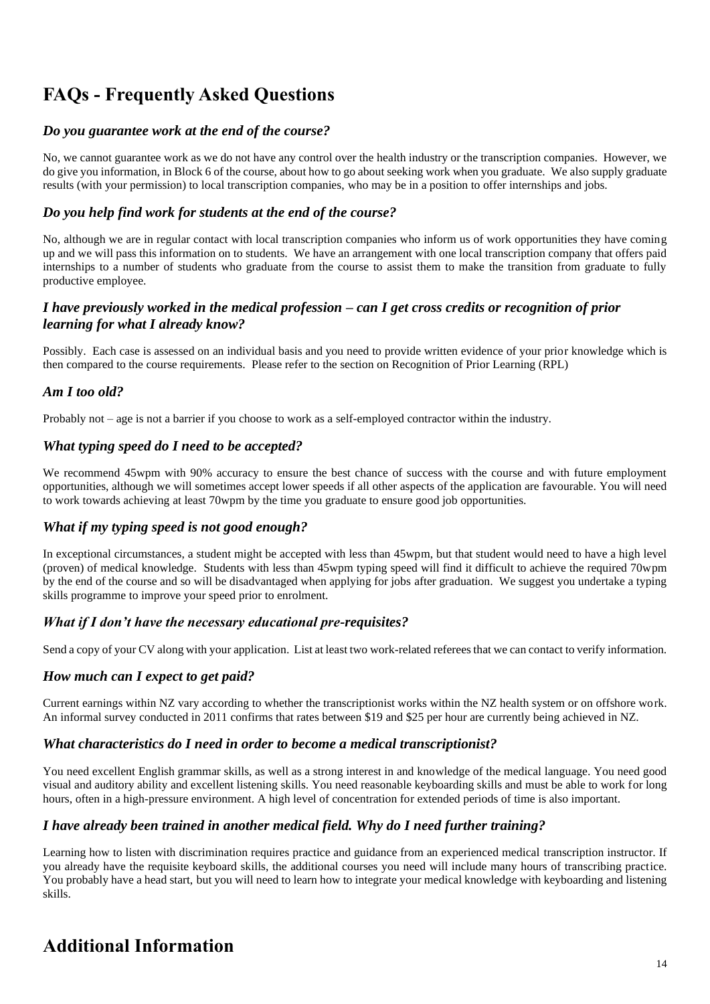## <span id="page-13-0"></span>**FAQs - Frequently Asked Questions**

#### *Do you guarantee work at the end of the course?*

No, we cannot guarantee work as we do not have any control over the health industry or the transcription companies. However, we do give you information, in Block 6 of the course, about how to go about seeking work when you graduate. We also supply graduate results (with your permission) to local transcription companies, who may be in a position to offer internships and jobs.

#### *Do you help find work for students at the end of the course?*

No, although we are in regular contact with local transcription companies who inform us of work opportunities they have coming up and we will pass this information on to students. We have an arrangement with one local transcription company that offers paid internships to a number of students who graduate from the course to assist them to make the transition from graduate to fully productive employee.

#### *I have previously worked in the medical profession – can I get cross credits or recognition of prior learning for what I already know?*

Possibly. Each case is assessed on an individual basis and you need to provide written evidence of your prior knowledge which is then compared to the course requirements. Please refer to the section on Recognition of Prior Learning (RPL)

#### *Am I too old?*

Probably not – age is not a barrier if you choose to work as a self-employed contractor within the industry.

#### *What typing speed do I need to be accepted?*

We recommend 45wpm with 90% accuracy to ensure the best chance of success with the course and with future employment opportunities, although we will sometimes accept lower speeds if all other aspects of the application are favourable. You will need to work towards achieving at least 70wpm by the time you graduate to ensure good job opportunities.

#### *What if my typing speed is not good enough?*

In exceptional circumstances, a student might be accepted with less than 45wpm, but that student would need to have a high level (proven) of medical knowledge. Students with less than 45wpm typing speed will find it difficult to achieve the required 70wpm by the end of the course and so will be disadvantaged when applying for jobs after graduation. We suggest you undertake a typing skills programme to improve your speed prior to enrolment.

#### *What if I don't have the necessary educational pre-requisites?*

Send a copy of your CV along with your application. List at least two work-related referees that we can contact to verify information.

#### *How much can I expect to get paid?*

Current earnings within NZ vary according to whether the transcriptionist works within the NZ health system or on offshore work. An informal survey conducted in 2011 confirms that rates between \$19 and \$25 per hour are currently being achieved in NZ.

#### *What characteristics do I need in order to become a medical transcriptionist?*

You need excellent English grammar skills, as well as a strong interest in and knowledge of the medical language. You need good visual and auditory ability and excellent listening skills. You need reasonable keyboarding skills and must be able to work for long hours, often in a high-pressure environment. A high level of concentration for extended periods of time is also important.

#### *I have already been trained in another medical field. Why do I need further training?*

Learning how to listen with discrimination requires practice and guidance from an experienced medical transcription instructor. If you already have the requisite keyboard skills, the additional courses you need will include many hours of transcribing practice. You probably have a head start, but you will need to learn how to integrate your medical knowledge with keyboarding and listening skills.

## <span id="page-13-1"></span>**Additional Information**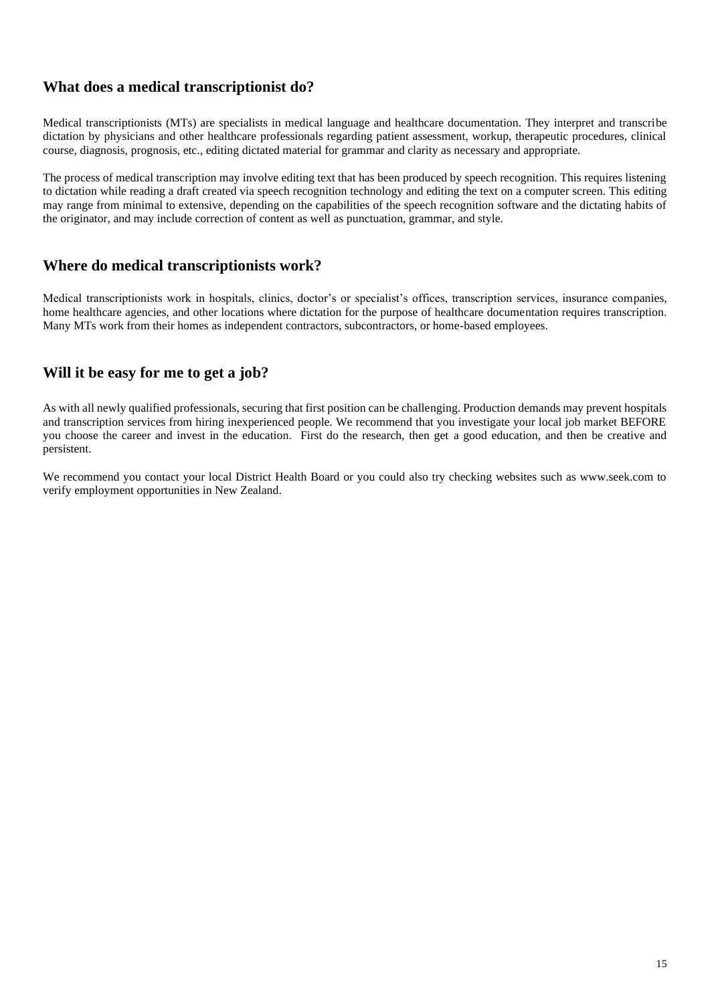#### **What does a medical transcriptionist do?**

Medical transcriptionists (MTs) are specialists in medical language and healthcare documentation. They interpret and transcribe dictation by physicians and other healthcare professionals regarding patient assessment, workup, therapeutic procedures, clinical course, diagnosis, prognosis, etc., editing dictated material for grammar and clarity as necessary and appropriate.

The process of medical transcription may involve editing text that has been produced by speech recognition. This requires listening to dictation while reading a draft created via speech recognition technology and editing the text on a computer screen. This editing may range from minimal to extensive, depending on the capabilities of the speech recognition software and the dictating habits of the originator, and may include correction of content as well as punctuation, grammar, and style.

#### **Where do medical transcriptionists work?**

Medical transcriptionists work in hospitals, clinics, doctor's or specialist's offices, transcription services, insurance companies, home healthcare agencies, and other locations where dictation for the purpose of healthcare documentation requires transcription. Many MTs work from their homes as independent contractors, subcontractors, or home-based employees.

#### **Will it be easy for me to get a job?**

As with all newly qualified professionals, securing that first position can be challenging. Production demands may prevent hospitals and transcription services from hiring inexperienced people. We recommend that you investigate your local job market BEFORE you choose the career and invest in the education. First do the research, then get a good education, and then be creative and persistent.

We recommend you contact your local District Health Board or you could also try checking websites such as www.seek.com to verify employment opportunities in New Zealand.